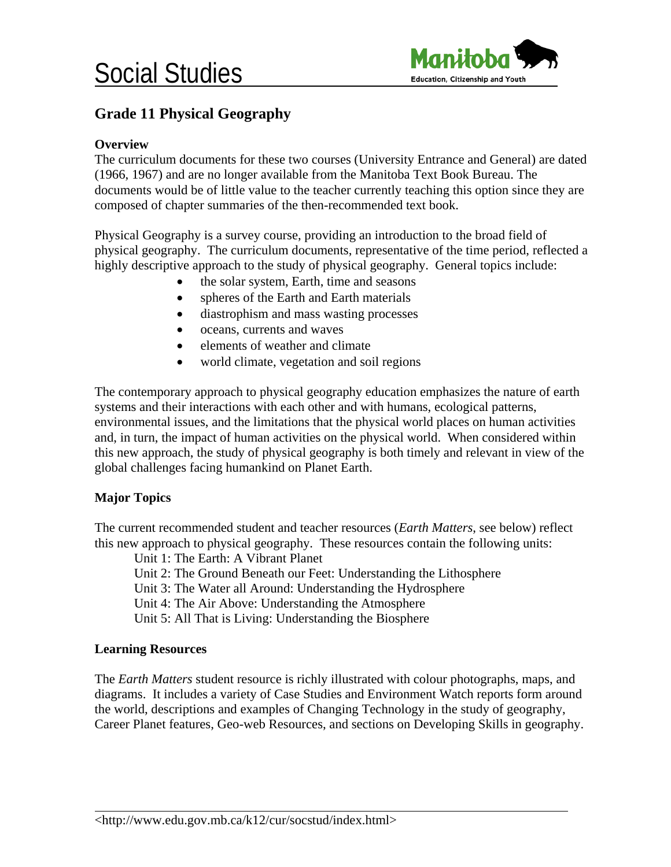

## **Grade 11 Physical Geography**

### **Overview**

The curriculum documents for these two courses (University Entrance and General) are dated (1966, 1967) and are no longer available from the Manitoba Text Book Bureau. The documents would be of little value to the teacher currently teaching this option since they are composed of chapter summaries of the then-recommended text book.

Physical Geography is a survey course, providing an introduction to the broad field of physical geography. The curriculum documents, representative of the time period, reflected a highly descriptive approach to the study of physical geography. General topics include:

- the solar system, Earth, time and seasons
- spheres of the Earth and Earth materials
- diastrophism and mass wasting processes
- oceans, currents and waves
- elements of weather and climate
- world climate, vegetation and soil regions

The contemporary approach to physical geography education emphasizes the nature of earth systems and their interactions with each other and with humans, ecological patterns, environmental issues, and the limitations that the physical world places on human activities and, in turn, the impact of human activities on the physical world. When considered within this new approach, the study of physical geography is both timely and relevant in view of the global challenges facing humankind on Planet Earth.

### **Major Topics**

The current recommended student and teacher resources (*Earth Matters*, see below) reflect this new approach to physical geography. These resources contain the following units:

Unit 1: The Earth: A Vibrant Planet

Unit 2: The Ground Beneath our Feet: Understanding the Lithosphere

Unit 3: The Water all Around: Understanding the Hydrosphere

Unit 4: The Air Above: Understanding the Atmosphere

Unit 5: All That is Living: Understanding the Biosphere

### **Learning Resources**

 $\overline{a}$ 

The *Earth Matters* student resource is richly illustrated with colour photographs, maps, and diagrams. It includes a variety of Case Studies and Environment Watch reports form around the world, descriptions and examples of Changing Technology in the study of geography, Career Planet features, Geo-web Resources, and sections on Developing Skills in geography.